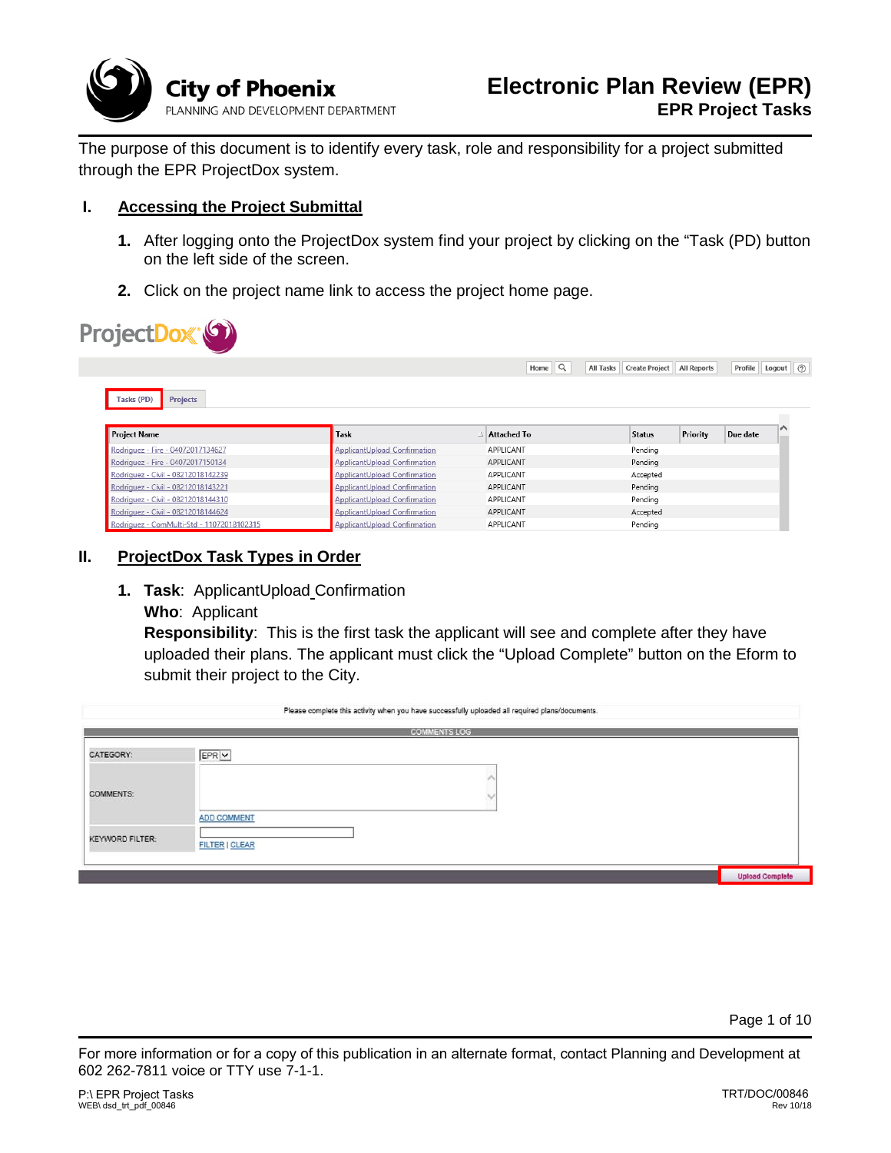

The purpose of this document is to identify every task, role and responsibility for a project submitted through the EPR ProjectDox system.

#### **I. Accessing the Project Submittal**

- **1.** After logging onto the ProjectDox system find your project by clicking on the "Task (PD) button on the left side of the screen.
- **2.** Click on the project name link to access the project home page.

|                                                                                                                                                                                                                                                       |                                                                     | Home $\mathbb{Q}$      | All Tasks Create Project | <b>All Reports</b> | Profile Logout (?) |
|-------------------------------------------------------------------------------------------------------------------------------------------------------------------------------------------------------------------------------------------------------|---------------------------------------------------------------------|------------------------|--------------------------|--------------------|--------------------|
| Tasks (PD)<br><b>Projects</b>                                                                                                                                                                                                                         |                                                                     |                        |                          |                    |                    |
|                                                                                                                                                                                                                                                       |                                                                     |                        |                          |                    |                    |
|                                                                                                                                                                                                                                                       | Task                                                                | $\Delta$ Attached To   | <b>Status</b>            | Priority           | Due date           |
|                                                                                                                                                                                                                                                       | ApplicantUpload Confirmation                                        | APPLICANT              | Pending                  |                    |                    |
|                                                                                                                                                                                                                                                       | ApplicantUpload Confirmation                                        | APPLICANT              | Pendina                  |                    |                    |
|                                                                                                                                                                                                                                                       | ApplicantUpload Confirmation                                        | APPLICANT<br>APPLICANT | Accepted                 |                    |                    |
|                                                                                                                                                                                                                                                       | ApplicantUpload Confirmation                                        | APPLICANT              | Pending                  |                    |                    |
| <b>Project Name</b><br>Rodriguez - Fire - 04072017134627<br>Rodriguez - Fire - 04072017150134<br>Rodriguez - Civil - 08212018142239<br>Rodriguez - Civil - 08212018143221<br>Rodriguez - Civil - 08212018144310<br>Rodriguez - Civil - 08212018144624 | <b>ApplicantUpload Confirmation</b><br>ApplicantUpload Confirmation | APPLICANT              | Pending<br>Accepted      |                    |                    |

## **II. ProjectDox Task Types in Order**

- **1. Task**: ApplicantUpload Confirmation
	- **Who**: Applicant

**Responsibility**: This is the first task the applicant will see and complete after they have uploaded their plans. The applicant must click the "Upload Complete" button on the Eform to submit their project to the City.

|                        | Please complete this activity when you have successfully uploaded all required plans/documents. |                        |  |  |
|------------------------|-------------------------------------------------------------------------------------------------|------------------------|--|--|
|                        | <b>COMMENTS LOG</b>                                                                             |                        |  |  |
| CATEGORY:              | EPR V                                                                                           |                        |  |  |
| COMMENTS:              |                                                                                                 |                        |  |  |
| <b>KEYWORD FILTER:</b> | <b>ADD COMMENT</b><br><b>FILTER   CLEAR</b>                                                     |                        |  |  |
|                        |                                                                                                 | <b>Upload Complete</b> |  |  |

Page 1 of 10

For more information or for a copy of this publication in an alternate format, contact Planning and Development at 602 262-7811 voice or TTY use 7-1-1.

I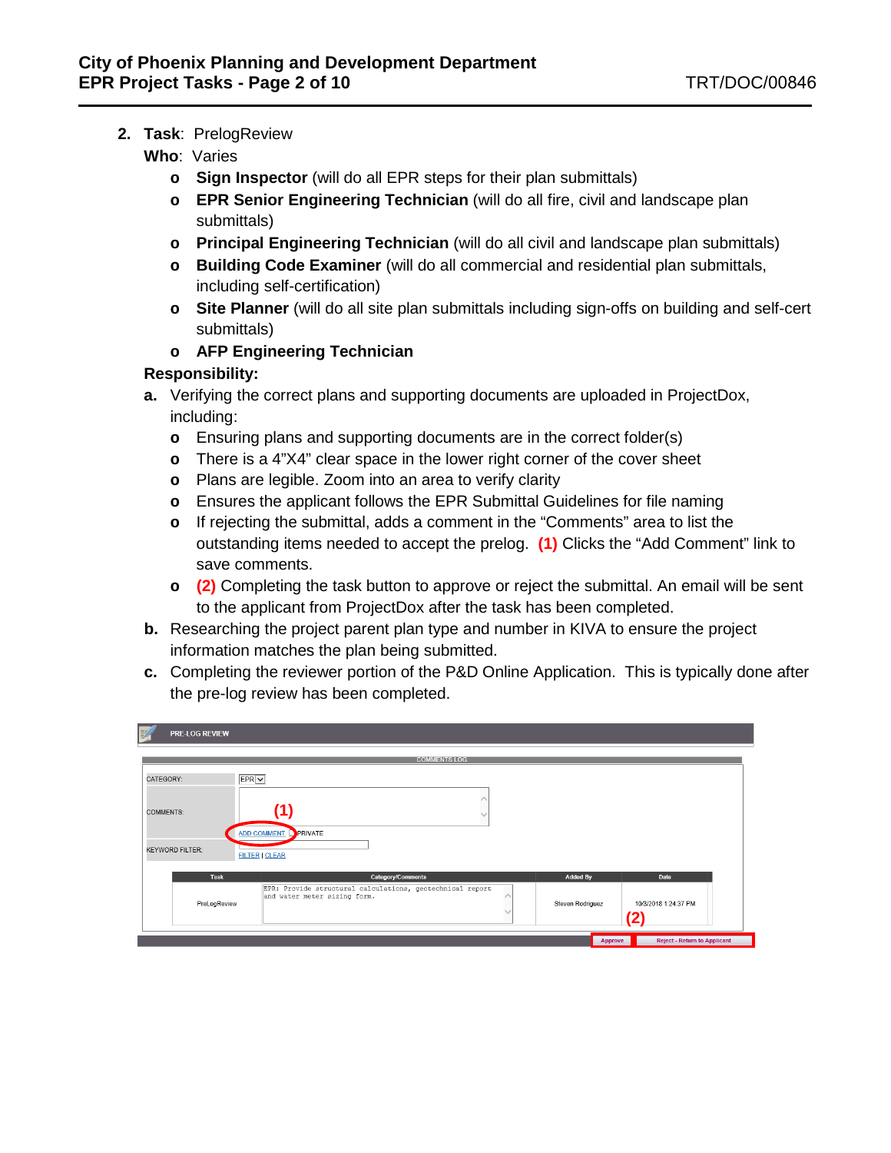- **2. Task**:PrelogReview
	- **Who**: Varies
		- **o Sign Inspector** (will do all EPR steps for their plan submittals)
		- **o EPR Senior Engineering Technician** (will do all fire, civil and landscape plan submittals)
		- **o Principal Engineering Technician** (will do all civil and landscape plan submittals)
		- **o Building Code Examiner** (will do all commercial and residential plan submittals, including self-certification)
		- **o Site Planner** (will do all site plan submittals including sign-offs on building and self-cert submittals)
		- **o AFP Engineering Technician**

## **Responsibility:**

- **a.** Verifying the correct plans and supporting documents are uploaded in ProjectDox, including:
	- **o** Ensuring plans and supporting documents are in the correct folder(s)
	- **o** There is a 4"X4" clear space in the lower right corner of the cover sheet
	- **o** Plans are legible. Zoom into an area to verify clarity
	- **o** Ensures the applicant follows the EPR Submittal Guidelines for file naming
	- **o** If rejecting the submittal, adds a comment in the "Comments" area to list the outstanding items needed to accept the prelog. **(1)** Clicks the "Add Comment" link to save comments.
	- **o (2)** Completing the task button to approve or reject the submittal. An email will be sent to the applicant from ProjectDox after the task has been completed.
- **b.** Researching the project parent plan type and number in KIVA to ensure the project information matches the plan being submitted.
- **c.** Completing the reviewer portion of the P&D Online Application. This is typically done after the pre-log review has been completed.

| 謑<br><b>PRE-LOG REVIEW</b>                              |                                                                                                                                                                                                     |                                     |
|---------------------------------------------------------|-----------------------------------------------------------------------------------------------------------------------------------------------------------------------------------------------------|-------------------------------------|
|                                                         | <b>COMMENTS LOG</b>                                                                                                                                                                                 |                                     |
| CATEGORY:<br><b>COMMENTS:</b><br><b>KEYWORD FILTER:</b> | EPRV<br>(1)<br>ADD COMMENT PRIVATE<br><b>FILTER   CLEAR</b>                                                                                                                                         |                                     |
| Task<br>PreLogReview                                    | <b>Added By</b><br>Category/Comments<br>Date<br>EPR: Provide structural calculations, geotechnical report<br>and water meter sizing form.<br>Steven Rodriguez<br>10/3/2018 1:24:37 PM<br>$\bf{(2)}$ |                                     |
|                                                         | Approve                                                                                                                                                                                             | <b>Reject - Return to Applicant</b> |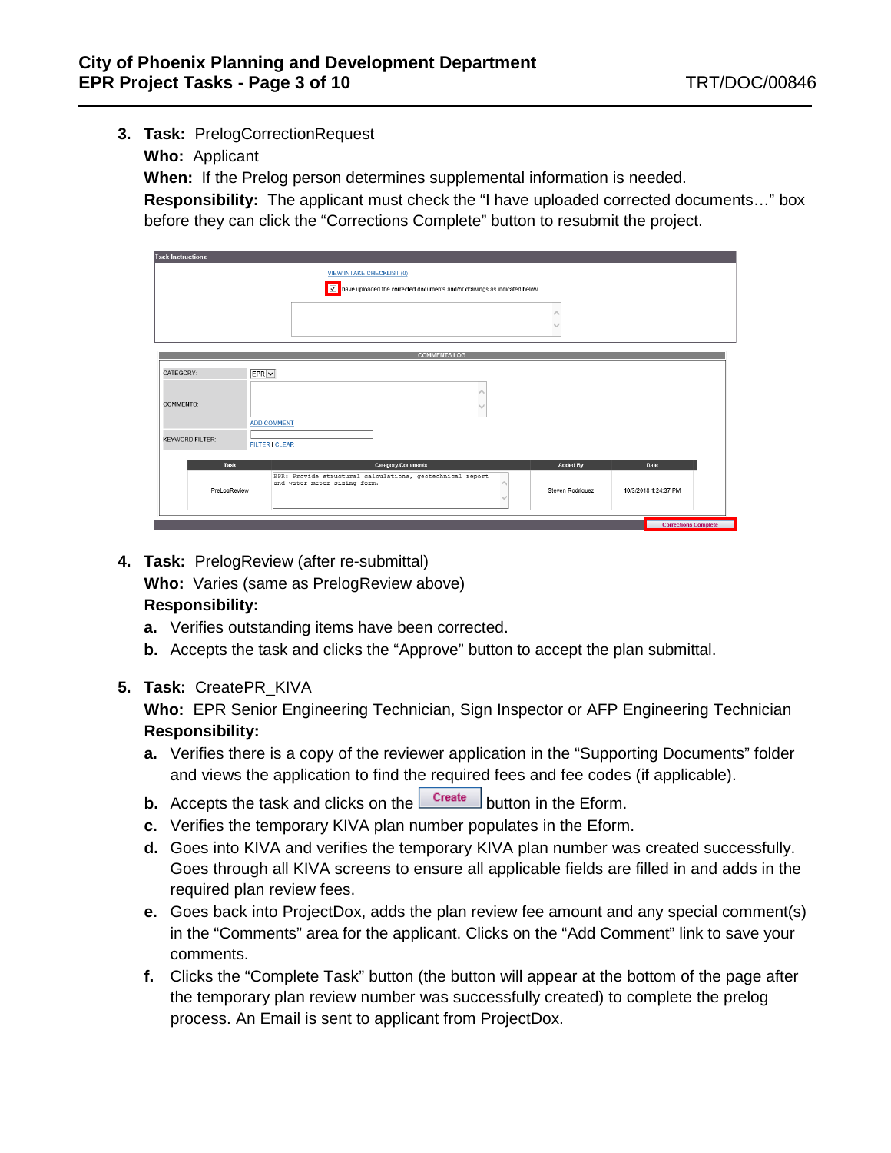- **3. Task:** PrelogCorrectionRequest
	- **Who:** Applicant

**When:** If the Prelog person determines supplemental information is needed.

**Responsibility:** The applicant must check the "I have uploaded corrected documents…" box before they can click the "Corrections Complete" button to resubmit the project.

| <b>Task Instructions</b>                        |                                                                                           |                  |                             |
|-------------------------------------------------|-------------------------------------------------------------------------------------------|------------------|-----------------------------|
|                                                 | <b>VIEW INTAKE CHECKLIST (0)</b>                                                          |                  |                             |
|                                                 | Mave uploaded the corrected documents and/or drawings as indicated below.                 |                  |                             |
|                                                 |                                                                                           |                  |                             |
|                                                 | <b>COMMENTS LOG</b>                                                                       |                  |                             |
| $EPR$ $\vee$<br>CATEGORY:                       |                                                                                           |                  |                             |
| <b>COMMENTS:</b>                                |                                                                                           |                  |                             |
| <b>ADD COMMENT</b>                              |                                                                                           |                  |                             |
| <b>KEYWORD FILTER:</b><br><b>FILTER   CLEAR</b> |                                                                                           |                  |                             |
| Task                                            | Category/Comments                                                                         | <b>Added By</b>  | Date                        |
| PreLogReview                                    | EPR: Provide structural calculations, geotechnical report<br>and water meter sizing form. | Steven Rodriguez | 10/3/2018 1:24:37 PM        |
|                                                 |                                                                                           |                  | <b>Corrections Complete</b> |

**4. Task:** PrelogReview (after re-submittal)

**Who:** Varies (same as PrelogReview above)

## **Responsibility:**

- **a.** Verifies outstanding items have been corrected.
- **b.** Accepts the task and clicks the "Approve" button to accept the plan submittal.
- **5. Task:** CreatePR\_KIVA

- **a.** Verifies there is a copy of the reviewer application in the "Supporting Documents" folder and views the application to find the required fees and fee codes (if applicable).
- **b.** Accepts the task and clicks on the **Create** button in the Eform.
- **c.** Verifies the temporary KIVA plan number populates in the Eform.
- **d.** Goes into KIVA and verifies the temporary KIVA plan number was created successfully. Goes through all KIVA screens to ensure all applicable fields are filled in and adds in the required plan review fees.
- **e.** Goes back into ProjectDox, adds the plan review fee amount and any special comment(s) in the "Comments" area for the applicant. Clicks on the "Add Comment" link to save your comments.
- **f.** Clicks the "Complete Task" button (the button will appear at the bottom of the page after the temporary plan review number was successfully created) to complete the prelog process. An Email is sent to applicant from ProjectDox.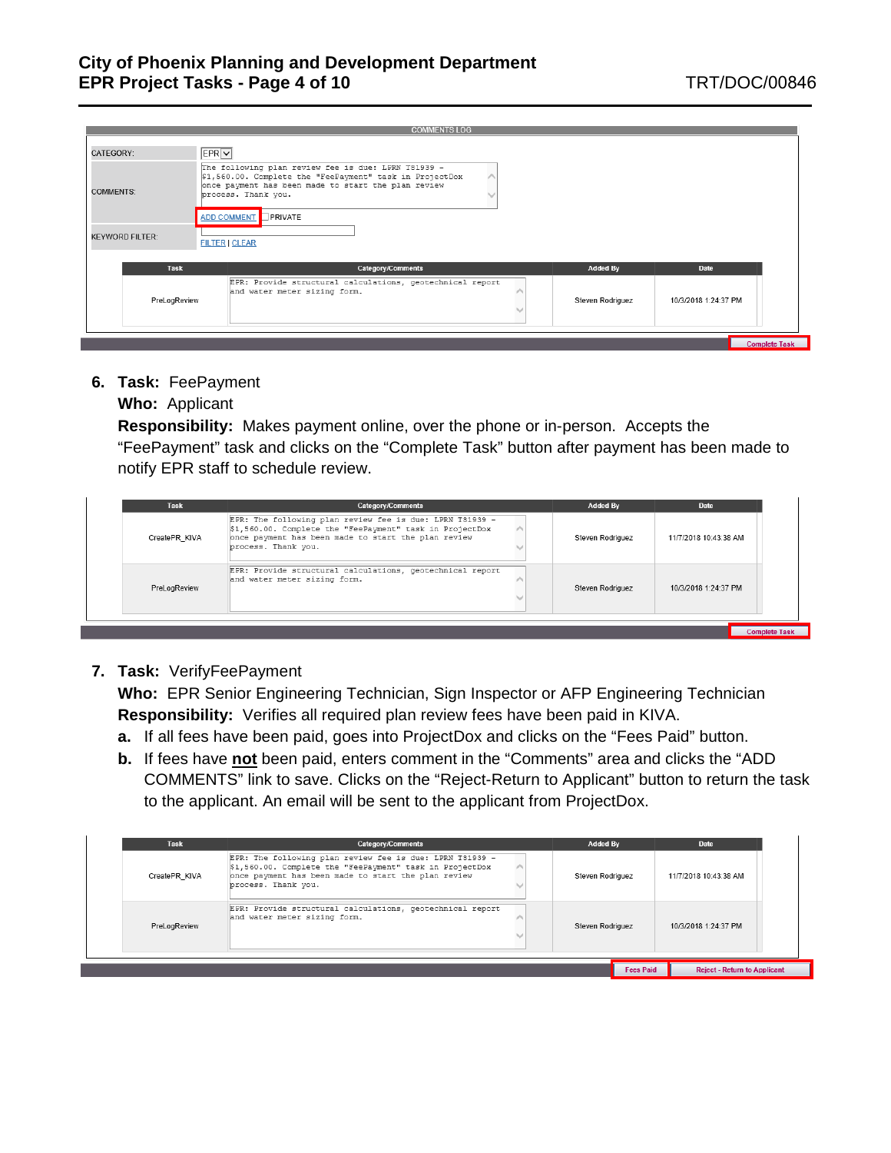| <b>COMMENTS LOG</b>                                                                                                                                                                                                                         |                                                                                                                                       |  |  |  |  |
|---------------------------------------------------------------------------------------------------------------------------------------------------------------------------------------------------------------------------------------------|---------------------------------------------------------------------------------------------------------------------------------------|--|--|--|--|
| CATEGORY:                                                                                                                                                                                                                                   | EPRV                                                                                                                                  |  |  |  |  |
| The following plan review fee is due: LPRN T81939 -<br>\$1,560.00. Complete the "FeePayment" task in ProjectDox<br>once payment has been made to start the plan review<br><b>COMMENTS:</b><br>process. Thank you.<br>ADD COMMENT<br>PRIVATE |                                                                                                                                       |  |  |  |  |
| <b>KEYWORD FILTER:</b>                                                                                                                                                                                                                      | <b>FILTER   CLEAR</b>                                                                                                                 |  |  |  |  |
| Task                                                                                                                                                                                                                                        | <b>Category/Comments</b><br><b>Added By</b><br>Date                                                                                   |  |  |  |  |
| PreLogReview                                                                                                                                                                                                                                | EPR: Provide structural calculations, geotechnical report<br>and water meter sizing form.<br>Steven Rodriguez<br>10/3/2018 1:24:37 PM |  |  |  |  |
|                                                                                                                                                                                                                                             | <b>Complete Task</b>                                                                                                                  |  |  |  |  |

**6. Task:** FeePayment

## **Who:** Applicant

**Responsibility:** Makes payment online, over the phone or in-person. Accepts the "FeePayment" task and clicks on the "Complete Task" button after payment has been made to notify EPR staff to schedule review.

| EPR: The following plan review fee is due: LPRN T81939 -<br>\$1,560.00. Complete the "FeePayment" task in ProjectDox<br>once payment has been made to start the plan review<br>CreatePR KIVA<br>Steven Rodriguez<br>11/7/2018 10:43:38 AM<br>process. Thank you.<br>EPR: Provide structural calculations, geotechnical report<br>and water meter sizing form.<br>PreLogReview<br>Steven Rodriguez<br>10/3/2018 1:24:37 PM | <b>Task</b> | Category/Comments | <b>Added By</b> | Date |
|---------------------------------------------------------------------------------------------------------------------------------------------------------------------------------------------------------------------------------------------------------------------------------------------------------------------------------------------------------------------------------------------------------------------------|-------------|-------------------|-----------------|------|
|                                                                                                                                                                                                                                                                                                                                                                                                                           |             |                   |                 |      |
|                                                                                                                                                                                                                                                                                                                                                                                                                           |             |                   |                 |      |

**7. Task:** VerifyFeePayment

**Who:** EPR Senior Engineering Technician, Sign Inspector or AFP Engineering Technician **Responsibility:** Verifies all required plan review fees have been paid in KIVA.

- **a.** If all fees have been paid, goes into ProjectDox and clicks on the "Fees Paid" button.
- **b.** If fees have **not** been paid, enters comment in the "Comments" area and clicks the "ADD COMMENTS" link to save. Clicks on the "Reject-Return to Applicant" button to return the task to the applicant. An email will be sent to the applicant from ProjectDox.

| Task          | Category/Comments                                                                                                                                                                                  |  | Added By         |                  | Date                                |
|---------------|----------------------------------------------------------------------------------------------------------------------------------------------------------------------------------------------------|--|------------------|------------------|-------------------------------------|
| CreatePR KIVA | EPR: The following plan review fee is due: LPRN T81939 -<br>\$1,560.00. Complete the "FeePayment" task in ProjectDox<br>once payment has been made to start the plan review<br>process. Thank you. |  | Steven Rodriguez |                  | 11/7/2018 10:43:38 AM               |
| PreLogReview  | EPR: Provide structural calculations, geotechnical report<br>Mand water meter sizing form.                                                                                                         |  | Steven Rodriguez |                  | 10/3/2018 1:24:37 PM                |
|               |                                                                                                                                                                                                    |  |                  | <b>Fees Paid</b> | <b>Reject - Return to Applicant</b> |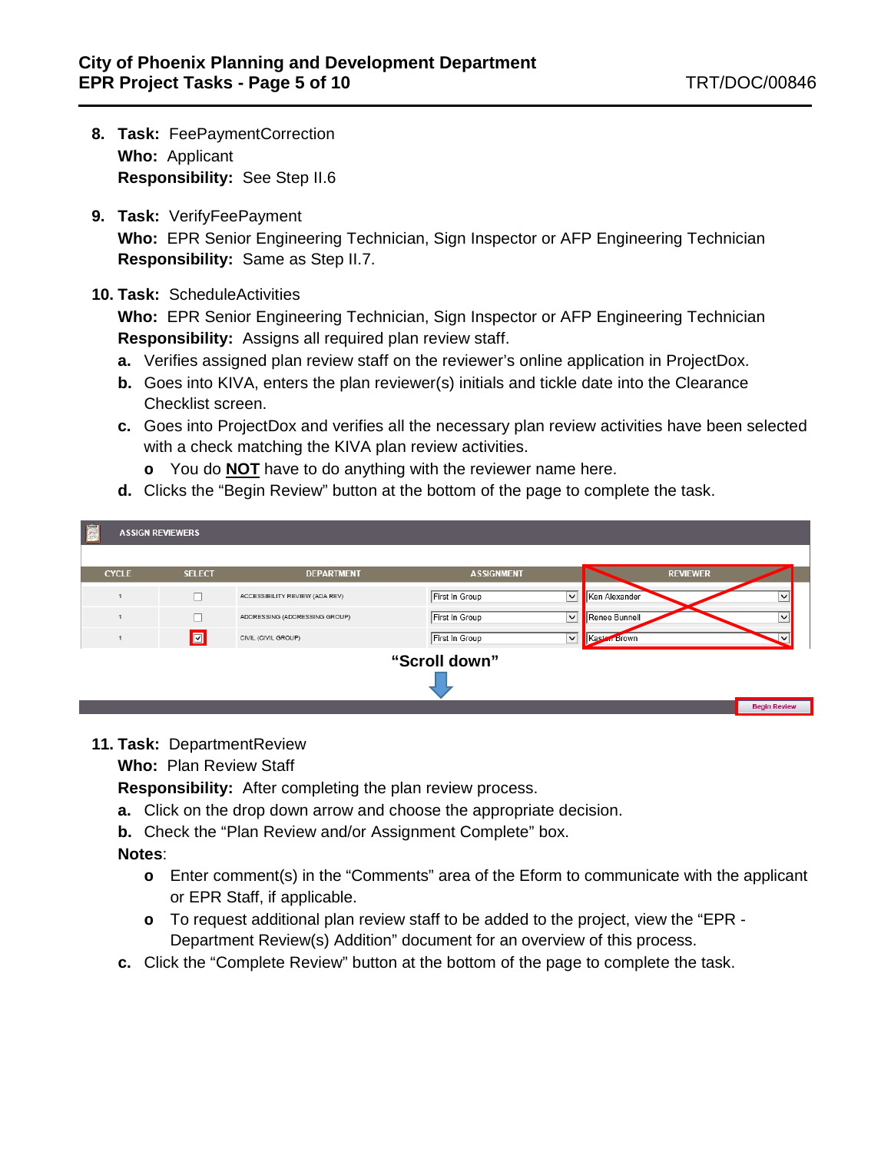- **8. Task:** FeePaymentCorrection **Who:** Applicant **Responsibility:** See Step II.6
- **9. Task:** VerifyFeePayment **Who:** EPR Senior Engineering Technician, Sign Inspector or AFP Engineering Technician **Responsibility:** Same as Step II.7.

#### **10. Task:** ScheduleActivities

**Who:** EPR Senior Engineering Technician, Sign Inspector or AFP Engineering Technician **Responsibility:** Assigns all required plan review staff.

- **a.** Verifies assigned plan review staff on the reviewer's online application in ProjectDox.
- **b.** Goes into KIVA, enters the plan reviewer(s) initials and tickle date into the Clearance Checklist screen.
- **c.** Goes into ProjectDox and verifies all the necessary plan review activities have been selected with a check matching the KIVA plan review activities.
	- **o** You do **NOT** have to do anything with the reviewer name here.
- **d.** Clicks the "Begin Review" button at the bottom of the page to complete the task.

| E<br><b>ASSIGN REVIEWERS</b> |               |                                |                                |               |                 |                     |
|------------------------------|---------------|--------------------------------|--------------------------------|---------------|-----------------|---------------------|
|                              |               |                                |                                |               |                 |                     |
| <b>CYCLE</b>                 | <b>SELECT</b> | <b>DEPARTMENT</b>              | <b>ASSIGNMENT</b>              |               | <b>REVIEWER</b> |                     |
| $\overline{1}$               |               | ACCESSIBILITY REVIEW (ADA REV) | First In Group<br>$\checkmark$ | Ken Alexander |                 | $\checkmark$        |
|                              |               | ADDRESSING (ADDRESSING GROUP)  | First In Group<br>$\checkmark$ | Renee Bunnell |                 |                     |
|                              | $\Box$        | CIVIL (CIVIL GROUP)            | First In Group<br>$\checkmark$ | Kasten Brown  |                 | $\checkmark$        |
|                              |               |                                | "Scroll down"                  |               |                 |                     |
|                              |               |                                |                                |               |                 | <b>Begin Review</b> |

## **11. Task:** DepartmentReview

**Who:** Plan Review Staff

**Responsibility:** After completing the plan review process.

- **a.** Click on the drop down arrow and choose the appropriate decision.
- **b.** Check the "Plan Review and/or Assignment Complete" box.

**Notes**:

- **o** Enter comment(s) in the "Comments" area of the Eform to communicate with the applicant or EPR Staff, if applicable.
- **o** To request additional plan review staff to be added to the project, view the "EPR Department Review(s) Addition" document for an overview of this process.
- **c.** Click the "Complete Review" button at the bottom of the page to complete the task.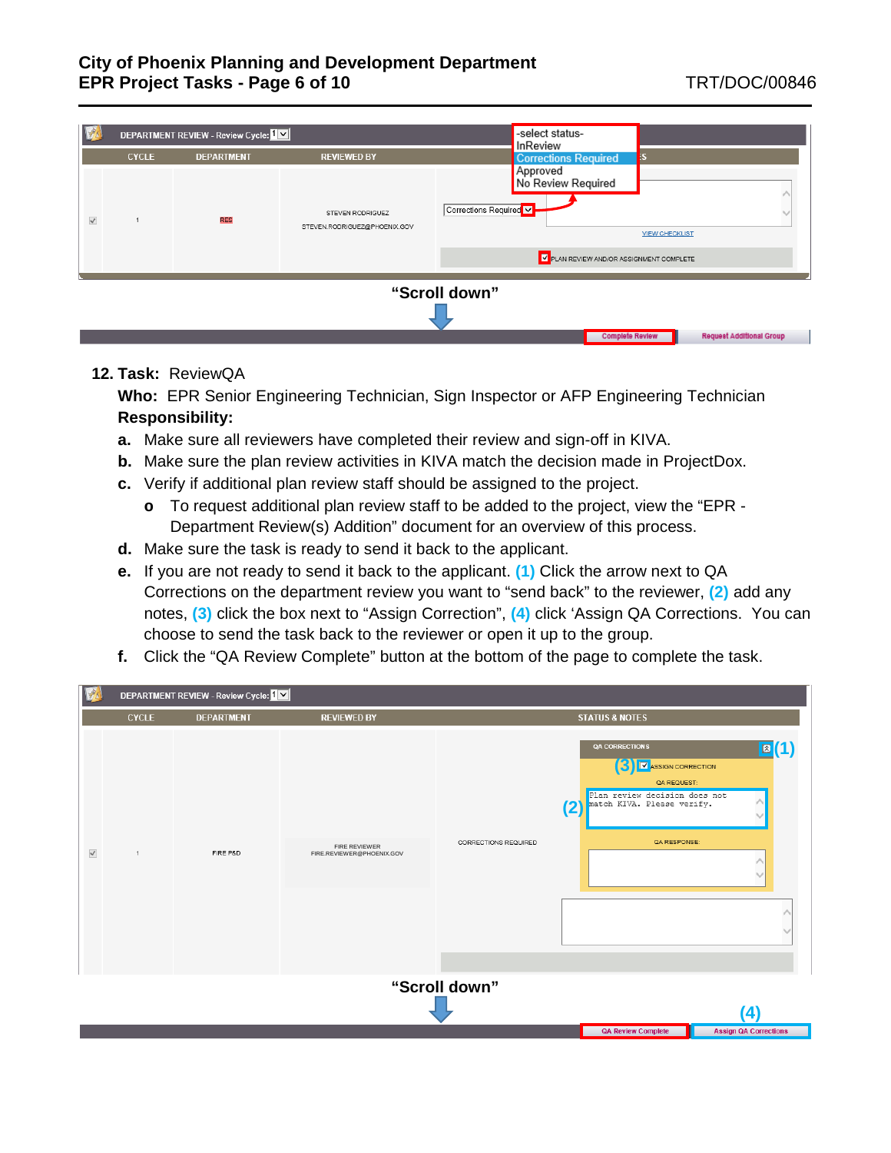|              |               | DEPARTMENT REVIEW - Review Cycle: 1 |                                                  | -select status-<br>InReview                                                       |  |  |  |  |
|--------------|---------------|-------------------------------------|--------------------------------------------------|-----------------------------------------------------------------------------------|--|--|--|--|
|              | <b>CYCLE</b>  | <b>DEPARTMENT</b>                   | <b>REVIEWED BY</b>                               | <b>Corrections Required</b>                                                       |  |  |  |  |
| $\checkmark$ |               | <b>RES</b>                          | STEVEN RODRIGUEZ<br>STEVEN.RODRIGUEZ@PHOENIX.GOV | Approved<br>No Review Required<br>Corrections Required V<br><b>VIEW CHECKLIST</b> |  |  |  |  |
|              |               |                                     |                                                  | V PLAN REVIEW AND/OR ASSIGNMENT COMPLETE                                          |  |  |  |  |
|              | "Scroll down" |                                     |                                                  |                                                                                   |  |  |  |  |
|              |               |                                     |                                                  | <b>Complete Review</b><br><b>Request Additional Group</b>                         |  |  |  |  |

#### **12. Task:** ReviewQA

- **a.** Make sure all reviewers have completed their review and sign-off in KIVA.
- **b.** Make sure the plan review activities in KIVA match the decision made in ProjectDox.
- **c.** Verify if additional plan review staff should be assigned to the project.
	- **o** To request additional plan review staff to be added to the project, view the "EPR Department Review(s) Addition" document for an overview of this process.
- **d.** Make sure the task is ready to send it back to the applicant.
- **e.** If you are not ready to send it back to the applicant. **(1)** Click the arrow next to QA Corrections on the department review you want to "send back" to the reviewer, **(2)** add any notes, **(3)** click the box next to "Assign Correction", **(4)** click 'Assign QA Corrections. You can choose to send the task back to the reviewer or open it up to the group.
- **f.** Click the "QA Review Complete" button at the bottom of the page to complete the task.

| $\mathbb{R}$ |                                            | DEPARTMENT REVIEW - Review Cycle: 1 |                                            |                      |                                                                                                                                                                                     |                              |  |  |
|--------------|--------------------------------------------|-------------------------------------|--------------------------------------------|----------------------|-------------------------------------------------------------------------------------------------------------------------------------------------------------------------------------|------------------------------|--|--|
|              | <b>CYCLE</b>                               | <b>DEPARTMENT</b>                   | <b>REVIEWED BY</b>                         |                      | <b>STATUS &amp; NOTES</b>                                                                                                                                                           |                              |  |  |
| $\checkmark$ | $\overline{1}$                             | FIRE P&D                            | FIRE REVIEWER<br>FIRE.REVIEWER@PHOENIX.GOV | CORRECTIONS REQUIRED | <b>QA CORRECTIONS</b><br>3) IV ASSIGN CORRECTION<br>QA REQUEST:<br>Plan review decision does not<br>(2) match KIVA. Please verify.<br>QA RESPONSE:<br>$\hat{\phantom{a}}$<br>$\sim$ | $\vert \mathbf{z} \vert (1)$ |  |  |
|              |                                            |                                     |                                            |                      |                                                                                                                                                                                     |                              |  |  |
|              | "Scroll down"<br><b>QA Review Complete</b> |                                     |                                            |                      |                                                                                                                                                                                     |                              |  |  |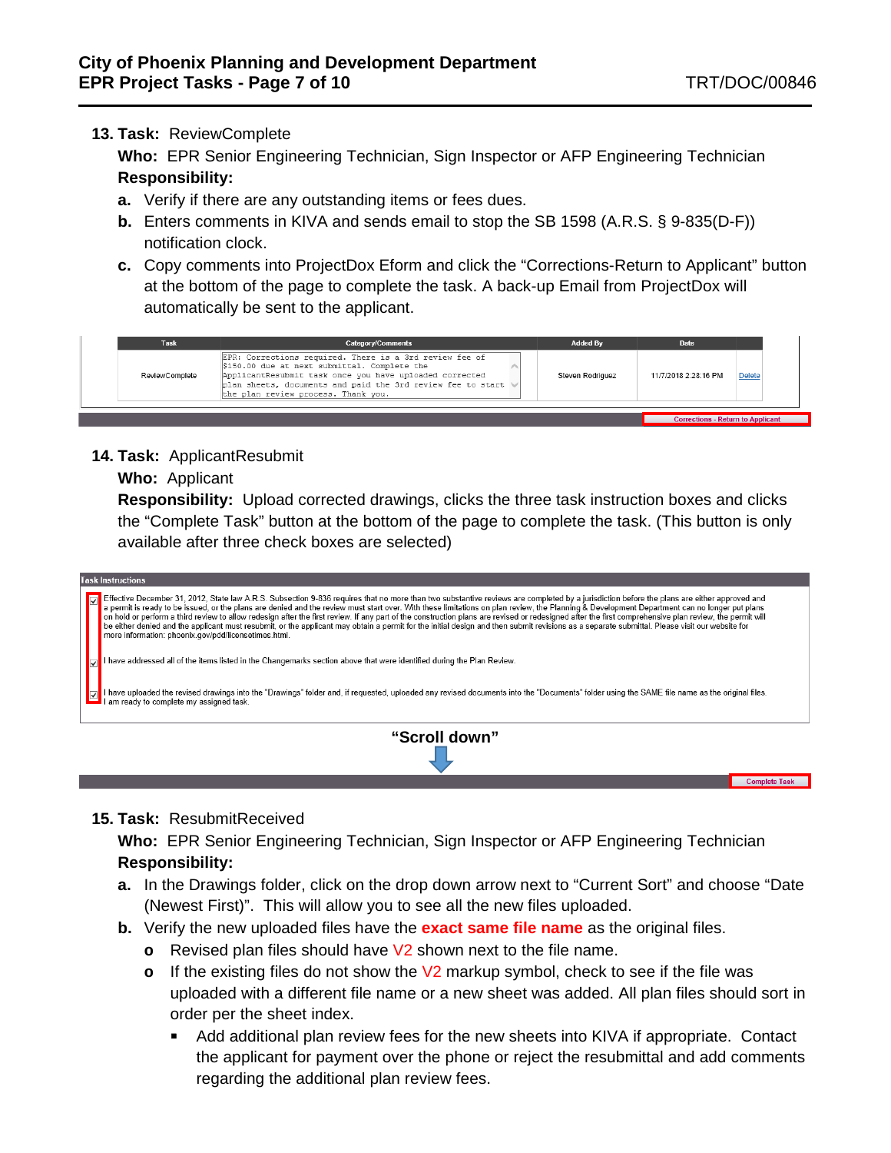**Complete Task** 

## **13. Task:** ReviewComplete

**Who:** EPR Senior Engineering Technician, Sign Inspector or AFP Engineering Technician **Responsibility:**

- **a.** Verify if there are any outstanding items or fees dues.
- **b.** Enters comments in KIVA and sends email to stop the SB 1598 (A.R.S. § 9-835(D-F)) notification clock.
- **c.** Copy comments into ProjectDox Eform and click the "Corrections-Return to Applicant" button at the bottom of the page to complete the task. A back-up Email from ProjectDox will automatically be sent to the applicant.



**14. Task:** ApplicantResubmit

#### **Who:** Applicant

**Responsibility:** Upload corrected drawings, clicks the three task instruction boxes and clicks the "Complete Task" button at the bottom of the page to complete the task. (This button is only available after three check boxes are selected)

| <b>Task Instructions</b>                                                                                                                                                                                                                                                                                                                                                                                                                                                                                                                                                                                                                                                                                                                                                                                                                                             |  |  |  |  |  |
|----------------------------------------------------------------------------------------------------------------------------------------------------------------------------------------------------------------------------------------------------------------------------------------------------------------------------------------------------------------------------------------------------------------------------------------------------------------------------------------------------------------------------------------------------------------------------------------------------------------------------------------------------------------------------------------------------------------------------------------------------------------------------------------------------------------------------------------------------------------------|--|--|--|--|--|
| Effective December 31, 2012, State law A.R.S. Subsection 9-836 requires that no more than two substantive reviews are completed by a jurisdiction before the plans are either approved and<br>ləl<br>a permit is ready to be issued, or the plans are denied and the review must start over. With these limitations on plan review, the Planning & Development Department can no longer put plans<br>on hold or perform a third review to allow redesign after the first review. If any part of the construction plans are revised or redesigned after the first comprehensive plan review, the permit will<br>be either denied and the applicant must resubmit, or the applicant may obtain a permit for the initial design and then submit revisions as a separate submittal. Please visit our website for<br>more information: phoenix.gov/pdd/licensetimes.html. |  |  |  |  |  |
| I have addressed all of the items listed in the Changemarks section above that were identified during the Plan Review.                                                                                                                                                                                                                                                                                                                                                                                                                                                                                                                                                                                                                                                                                                                                               |  |  |  |  |  |
| I have uploaded the revised drawings into the "Drawings" folder and, if requested, uploaded any revised documents into the "Documents" folder using the SAME file name as the original files.<br>I am ready to complete my assigned task.                                                                                                                                                                                                                                                                                                                                                                                                                                                                                                                                                                                                                            |  |  |  |  |  |
| "Scroll down"                                                                                                                                                                                                                                                                                                                                                                                                                                                                                                                                                                                                                                                                                                                                                                                                                                                        |  |  |  |  |  |

#### **15. Task:** ResubmitReceived

- **a.** In the Drawings folder, click on the drop down arrow next to "Current Sort" and choose "Date (Newest First)". This will allow you to see all the new files uploaded.
- **b.** Verify the new uploaded files have the **exact same file name** as the original files.
	- **o** Revised plan files should have V2 shown next to the file name.
	- **o** If the existing files do not show the V2 markup symbol, check to see if the file was uploaded with a different file name or a new sheet was added. All plan files should sort in order per the sheet index.
		- Add additional plan review fees for the new sheets into KIVA if appropriate. Contact the applicant for payment over the phone or reject the resubmittal and add comments regarding the additional plan review fees.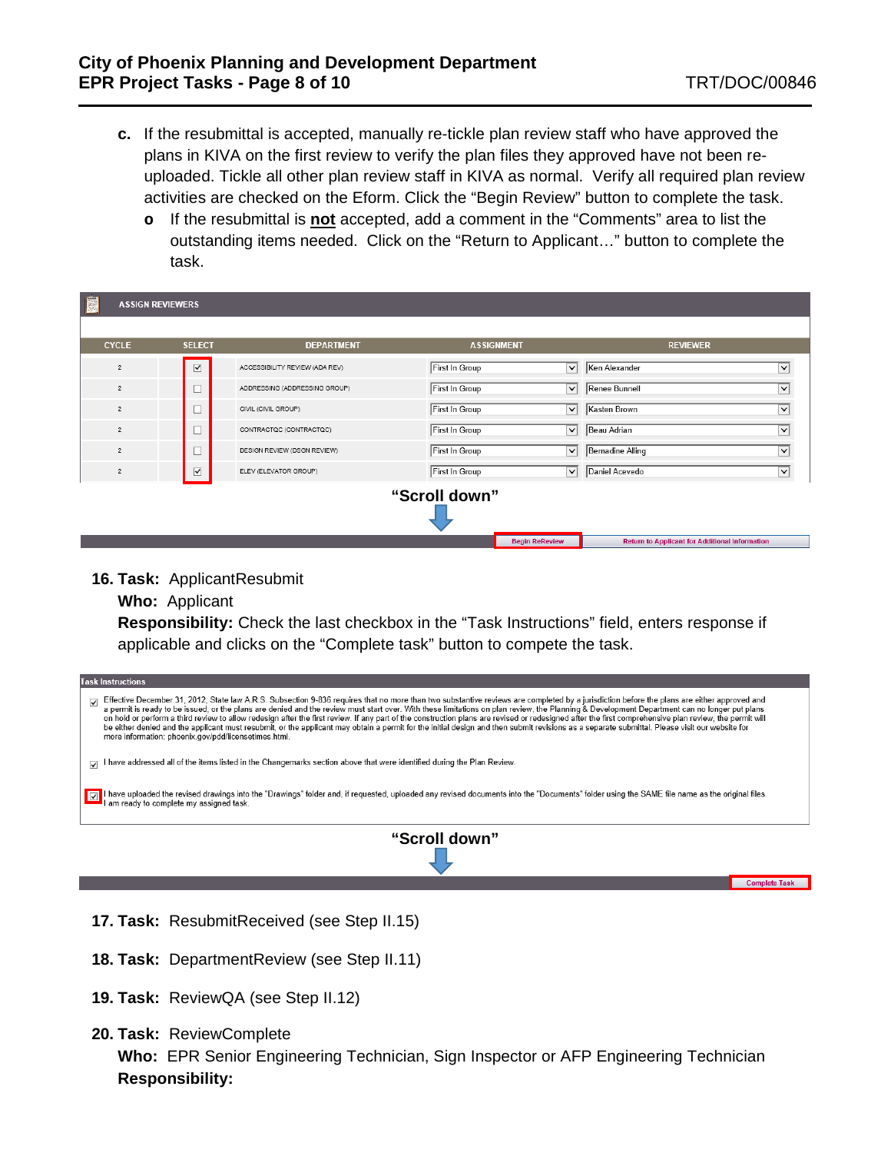**Complete Task** 

- **c.** If the resubmittal is accepted, manually re-tickle plan review staff who have approved the plans in KIVA on the first review to verify the plan files they approved have not been reuploaded. Tickle all other plan review staff in KIVA as normal. Verify all required plan review activities are checked on the Eform. Click the "Begin Review" button to complete the task.
	- **o** If the resubmittal is **not** accepted, add a comment in the "Comments" area to list the outstanding items needed. Click on the "Return to Applicant…" button to complete the task.

| E              | <b>ASSIGN REVIEWERS</b> |                                |                   |                       |                                                       |              |  |  |
|----------------|-------------------------|--------------------------------|-------------------|-----------------------|-------------------------------------------------------|--------------|--|--|
| <b>CYCLE</b>   | <b>SELECT</b>           | <b>DEPARTMENT</b>              | <b>ASSIGNMENT</b> |                       | <b>REVIEWER</b>                                       |              |  |  |
| $\bar{z}$      | $\overline{\mathbf{v}}$ | ACCESSIBILITY REVIEW (ADA REV) | First In Group    |                       | $\boxed{\smile}$ Ken Alexander                        | $\checkmark$ |  |  |
| $\overline{2}$ |                         | ADDRESSING (ADDRESSING GROUP)  | First In Group    |                       | $\boxed{\smile}$ Renee Bunnell                        | $\checkmark$ |  |  |
| $\overline{2}$ |                         | CIVIL (CIVIL GROUP)            | First In Group    |                       | $\boxed{\smile}$ Kasten Brown                         | v            |  |  |
| $\overline{2}$ |                         | CONTRACTOC (CONTRACTOC)        | First In Group    |                       | $\overline{\vee}$ Beau Adrian                         | ◡            |  |  |
| $\overline{2}$ | Τ                       | DESIGN REVIEW (DSGN REVIEW)    | First In Group    |                       | $\boxed{\smile}$ Bernadine Alling                     | ◡            |  |  |
| $\overline{2}$ | $\overline{\mathbf{v}}$ | ELEV (ELEVATOR GROUP)          | First In Group    |                       | $\sqrt{\phantom{a}}$ Daniel Acevedo                   | v            |  |  |
|                | "Scroll down"           |                                |                   |                       |                                                       |              |  |  |
|                |                         |                                |                   |                       |                                                       |              |  |  |
|                |                         |                                |                   | <b>Begin ReReview</b> | <b>Return to Applicant for Additional Information</b> |              |  |  |

**16. Task:** ApplicantResubmit

**Who:** Applicant

**Responsibility:** Check the last checkbox in the "Task Instructions" field, enters response if applicable and clicks on the "Complete task" button to compete the task.

| <b>Task Instructions</b>                                                                                                                                                                                                                                                                                                                                                                                                                                                                                                                                                                                                                                                                                                        |  |  |  |  |  |
|---------------------------------------------------------------------------------------------------------------------------------------------------------------------------------------------------------------------------------------------------------------------------------------------------------------------------------------------------------------------------------------------------------------------------------------------------------------------------------------------------------------------------------------------------------------------------------------------------------------------------------------------------------------------------------------------------------------------------------|--|--|--|--|--|
| Effective December 31, 2012, State law A.R.S. Subsection 9-836 requires that no more than two substantive reviews are completed by a jurisdiction before the plans are either approved and<br>a permit is ready to be issued, or<br>$\overline{\mathcal{L}}$<br>on hold or perform a third review to allow redesign after the first review. If any part of the construction plans are revised or redesigned after the first comprehensive plan review, the permit will<br>be either denied and the applicant must resubmit, or the applicant may obtain a permit for the initial design and then submit revisions as a separate submittal. Please visit our website for<br>more information: phoenix.gov/pdd/licensetimes.html. |  |  |  |  |  |
| I have addressed all of the items listed in the Changemarks section above that were identified during the Plan Review.<br>$\overline{\mathcal{L}}$                                                                                                                                                                                                                                                                                                                                                                                                                                                                                                                                                                              |  |  |  |  |  |
| I have uploaded the revised drawings into the "Drawings" folder and, if requested, uploaded any revised documents into the "Documents" folder using the SAME file name as the original files.                                                                                                                                                                                                                                                                                                                                                                                                                                                                                                                                   |  |  |  |  |  |
| "Scroll down"                                                                                                                                                                                                                                                                                                                                                                                                                                                                                                                                                                                                                                                                                                                   |  |  |  |  |  |
|                                                                                                                                                                                                                                                                                                                                                                                                                                                                                                                                                                                                                                                                                                                                 |  |  |  |  |  |

- **17. Task:** ResubmitReceived (see Step II.15)
- **18. Task:** DepartmentReview (see Step II.11)
- **19. Task:** ReviewQA (see Step II.12)
- **20. Task:** ReviewComplete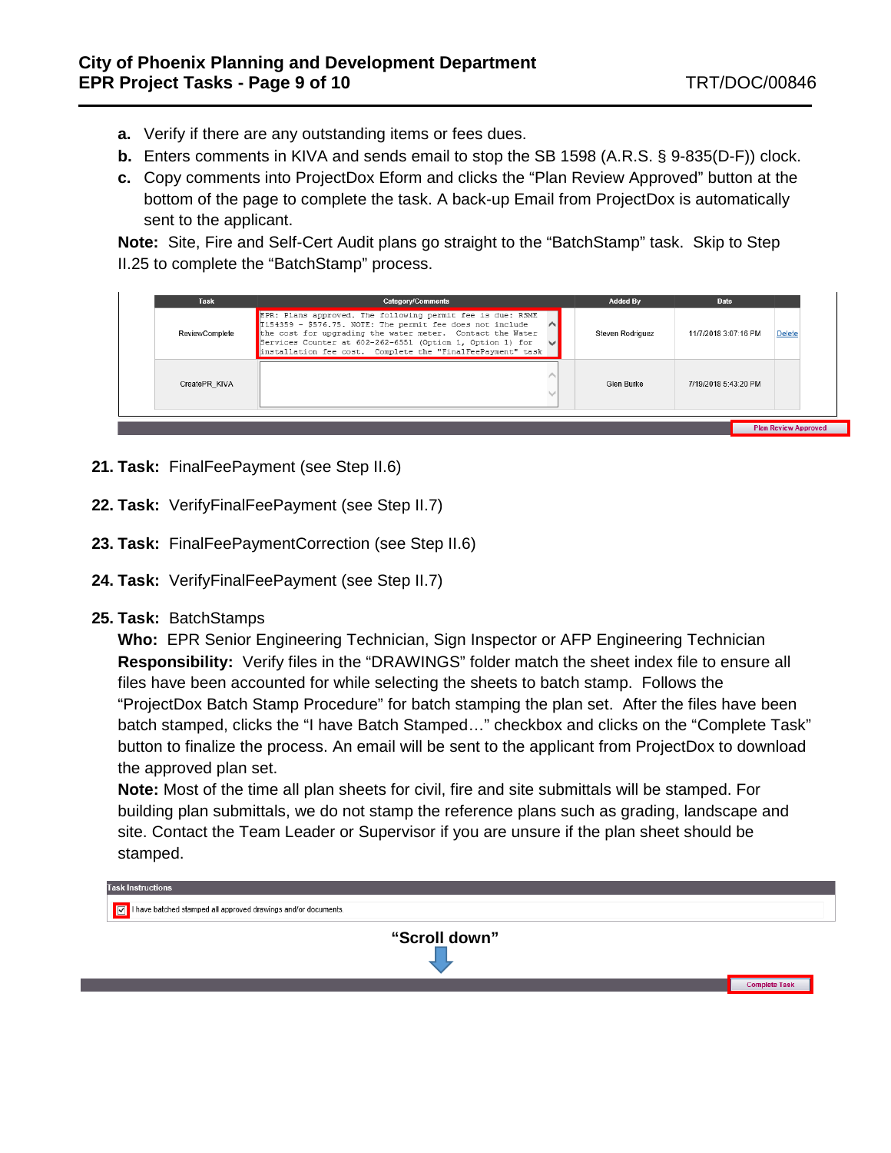- **a.** Verify if there are any outstanding items or fees dues.
- **b.** Enters comments in KIVA and sends email to stop the SB 1598 (A.R.S. § 9-835(D-F)) clock.
- **c.** Copy comments into ProjectDox Eform and clicks the "Plan Review Approved" button at the bottom of the page to complete the task. A back-up Email from ProjectDox is automatically sent to the applicant.

**Note:** Site, Fire and Self-Cert Audit plans go straight to the "BatchStamp" task. Skip to Step II.25 to complete the "BatchStamp" process.

| Task           | Category/Comments                                                                                                                                                                                                                                                                                                           | <b>Added By</b>  | Date                 |                             |
|----------------|-----------------------------------------------------------------------------------------------------------------------------------------------------------------------------------------------------------------------------------------------------------------------------------------------------------------------------|------------------|----------------------|-----------------------------|
| ReviewComplete | EPR: Plans approved. The following permit fee is due: RSME<br>T154359 - \$576.75. NOTE: The permit fee does not include<br>$\wedge$<br>the cost for upgrading the water meter. Contact the Water<br>Services Counter at 602-262-6551 (Option 1, Option 1) for<br>installation fee cost. Complete the "FinalFeePayment" task | Steven Rodriguez | 11/7/2018 3:07:16 PM | <b>Delete</b>               |
| CreatePR KIVA  |                                                                                                                                                                                                                                                                                                                             | Glen Burke       | 7/19/2018 5:43:20 PM |                             |
|                |                                                                                                                                                                                                                                                                                                                             |                  |                      | <b>Plan Review Approved</b> |

- **21. Task:** FinalFeePayment (see Step II.6)
- **22. Task:** VerifyFinalFeePayment (see Step II.7)
- **23. Task:** FinalFeePaymentCorrection (see Step II.6)
- **24. Task:** VerifyFinalFeePayment (see Step II.7)
- **25. Task:** BatchStamps

**Who:** EPR Senior Engineering Technician, Sign Inspector or AFP Engineering Technician **Responsibility:** Verify files in the "DRAWINGS" folder match the sheet index file to ensure all files have been accounted for while selecting the sheets to batch stamp. Follows the "ProjectDox Batch Stamp Procedure" for batch stamping the plan set. After the files have been batch stamped, clicks the "I have Batch Stamped…" checkbox and clicks on the "Complete Task" button to finalize the process. An email will be sent to the applicant from ProjectDox to download the approved plan set.

**Note:** Most of the time all plan sheets for civil, fire and site submittals will be stamped. For building plan submittals, we do not stamp the reference plans such as grading, landscape and site. Contact the Team Leader or Supervisor if you are unsure if the plan sheet should be stamped.

| <b>Task Instructions</b><br>$\sqrt{ \mathbf{v} }$ I have batched stamped all approved drawings and/or documents. |                      |  |  |  |  |
|------------------------------------------------------------------------------------------------------------------|----------------------|--|--|--|--|
| "Scroll down"                                                                                                    |                      |  |  |  |  |
|                                                                                                                  | <b>Complete Task</b> |  |  |  |  |
|                                                                                                                  |                      |  |  |  |  |